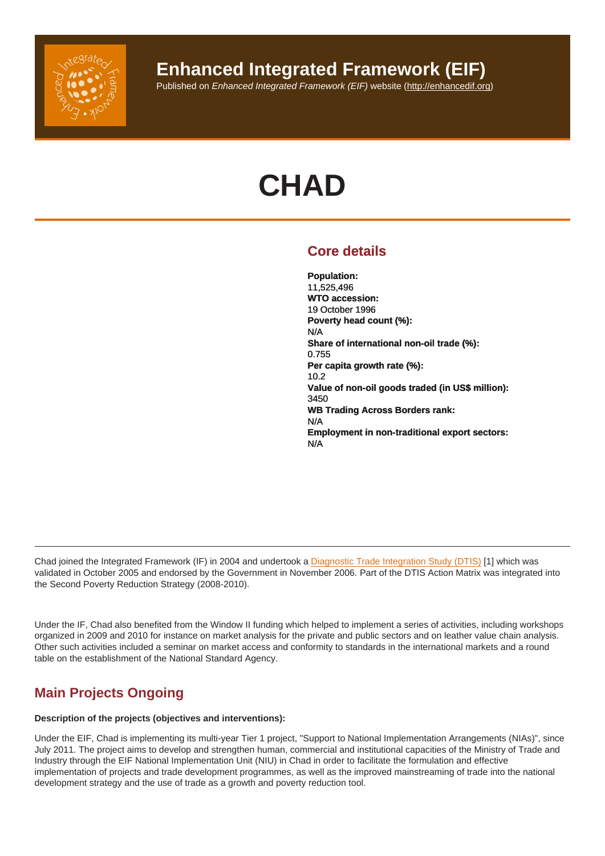# Enhanced Integrated Framework (EIF)

Published on Enhanced Integrated Framework (EIF) website (http://enhancedif.org)

# **CHAD**

# Core details

Population: 11,525,496 WTO accession: 19 October 1996 Poverty head count (%): N/A Share of international non-oil trade (%): 0.755 Per capita growth rate (%): 10.2 Value of non-oil goods traded (in US\$ million): 3450 WB Trading Across Borders rank: N/A Employment in non-traditional export sectors: N/A

Chad joined the Integrated Framework (IF) in 2004 and undertook a Diagnostic Trade Integration Study (DTIS) [1] which was validated in October 2005 and endorsed by the Government in November 2006. Part of the DTIS Action Matrix was integrated into the Second Poverty Reduction Strategy (2008-2010).

Under the IF, Chad also benefited from the Window II funding which helped to implement a series of activities, including workshops organized in 2009 and 2010 for instance on market analysis for the private and public sectors and on leather value chain analysis. Other such activities included a seminar on market access and conformity to standards in the international markets and a round table on the establishment of the National Standard Agency.

# Main Projects Ongoing

Description of the projects (objectives and interventions):

Under the EIF, Chad is implementing its multi-year Tier 1 project, "Support to National Implementation Arrangements (NIAs)", since July 2011. The project aims to develop and strengthen human, commercial and institutional capacities of the Ministry of Trade and Industry through the EIF National Implementation Unit (NIU) in Chad in order to facilitate the formulation and effective implementation of projects and trade development programmes, as well as the improved mainstreaming of trade into the national development strategy and the use of trade as a growth and poverty reduction tool.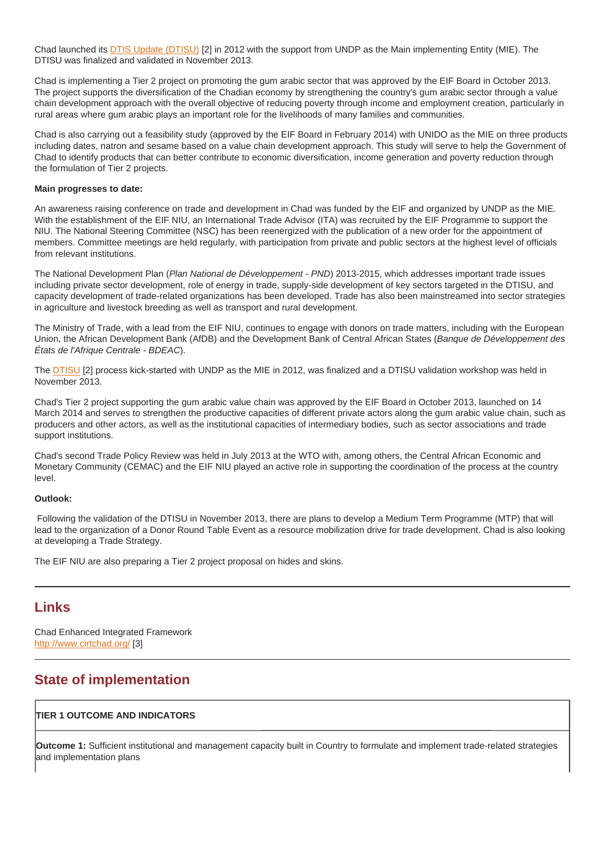Chad launched its DTIS Update (DTISU) [2] in 2012 with the support from UNDP as the Main implementing Entity (MIE). The DTISU was finalized and validated in November 2013.

Chad is implementing a Tier 2 project on promoting the gum arabic sector that was approved by the EIF Board in October 2013. The project supports the diversification of the Chadian economy by strengthening the country's gum arabic sector through a value chain developmen[t approach with the ove](http://enhancedif.org/en/system/files/uploads/tchad_edic_ii_-_rapport_final_novembre_2013-editedfeb2014.pdf)rall objective of reducing poverty through income and employment creation, particularly in rural areas where gum arabic plays an important role for the livelihoods of many families and communities.

Chad is also carrying out a feasibility study (approved by the EIF Board in February 2014) with UNIDO as the MIE on three products including dates, natron and sesame based on a value chain development approach. This study will serve to help the Government of Chad to identify products that can better contribute to economic diversification, income generation and poverty reduction through the formulation of Tier 2 projects.

Main progresses to date:

An awareness raising conference on trade and development in Chad was funded by the EIF and organized by UNDP as the MIE. With the establishment of the EIF NIU, an International Trade Advisor (ITA) was recruited by the EIF Programme to support the NIU. The National Steering Committee (NSC) has been reenergized with the publication of a new order for the appointment of members. Committee meetings are held regularly, with participation from private and public sectors at the highest level of officials from relevant institutions.

The National Development Plan (Plan National de Développement - PND) 2013-2015, which addresses important trade issues including private sector development, role of energy in trade, supply-side development of key sectors targeted in the DTISU, and capacity development of trade-related organizations has been developed. Trade has also been mainstreamed into sector strategies in agriculture and livestock breeding as well as transport and rural development.

The Ministry of Trade, with a lead from the EIF NIU, continues to engage with donors on trade matters, including with the European Union, the African Development Bank (AfDB) and the Development Bank of Central African States (Banque de Développement des États de l'Afrique Centrale - BDEAC).

The DTISU [2] process kick-started with UNDP as the MIE in 2012, was finalized and a DTISU validation workshop was held in November 2013.

Chad's Tier 2 project supporting the gum arabic value chain was approved by the EIF Board in October 2013, launched on 14 March 2014 and serves to strengthen the productive capacities of different private actors along the gum arabic value chain, such as pro[ducers a](http://enhancedif.org/en/system/files/uploads/tchad_edic_ii_-_rapport_final_novembre_2013-editedfeb2014.pdf)nd other actors, as well as the institutional capacities of intermediary bodies, such as sector associations and trade support institutions.

Chad's second Trade Policy Review was held in July 2013 at the WTO with, among others, the Central African Economic and Monetary Community (CEMAC) and the EIF NIU played an active role in supporting the coordination of the process at the country level.

Outlook:

 Following the validation of the DTISU in November 2013, there are plans to develop a Medium Term Programme (MTP) that will lead to the organization of a Donor Round Table Event as a resource mobilization drive for trade development. Chad is also looking at developing a Trade Strategy.

The EIF NIU are also preparing a Tier 2 project proposal on hides and skins.

### Links

Chad Enhanced Integrated Framework http://www.cirtchad.org/ [3]

# State of implementation

TIER 1 OUTCOME AND INDICATORS

Outcome 1: Sufficient institutional and management capacity built in Country to formulate and implement trade-related strategies and implementation plans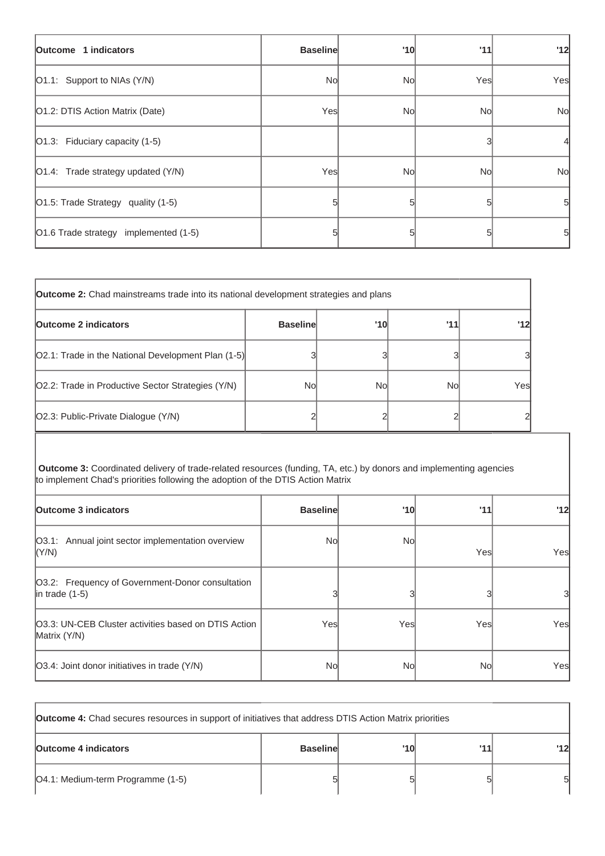| Outcome 1 indicators                  | <b>Baseline</b> | '10 | '11 | '12       |
|---------------------------------------|-----------------|-----|-----|-----------|
| [O1.1: Support to NIAs (Y/N)          | No              | Nol | Yes | Yes       |
| O1.2: DTIS Action Matrix (Date)       | Yes             | Nol | No  | <b>No</b> |
| $ O1.3$ : Fiduciary capacity (1-5)    |                 |     |     |           |
| O1.4: Trade strategy updated (Y/N)    | Yes             | Nol | No  | <b>No</b> |
| O1.5: Trade Strategy quality (1-5)    |                 | 5   |     | 51        |
| O1.6 Trade strategy implemented (1-5) |                 | 5   |     | 51        |

| <b>Outcome 2:</b> Chad mainstreams trade into its national development strategies and plans |                 |     |     |                |
|---------------------------------------------------------------------------------------------|-----------------|-----|-----|----------------|
| <b>Outcome 2 indicators</b>                                                                 | <b>Baseline</b> | '10 | 111 | '12            |
| [O2.1: Trade in the National Development Plan (1-5)]                                        |                 |     |     | 3              |
| O2.2: Trade in Productive Sector Strategies (Y/N)                                           | Nol             | Nol | No  | Yes            |
| O2.3: Public-Private Dialogue (Y/N)                                                         |                 |     |     | $\overline{2}$ |

**Outcome 3:** Coordinated delivery of trade-related resources (funding, TA, etc.) by donors and implementing agencies to implement Chad's priorities following the adoption of the DTIS Action Matrix

| <b>Outcome 3 indicators</b>                                            | <b>Baseline</b> | '10  | '11  | '12  |
|------------------------------------------------------------------------|-----------------|------|------|------|
| O3.1: Annual joint sector implementation overview<br>(Y/N)             | Nol             | Nol  | Yesl | Yesl |
| O3.2: Frequency of Government-Donor consultation<br>$ $ in trade (1-5) |                 |      |      | 31   |
| [O3.3: UN-CEB Cluster activities based on DTIS Action<br>Matrix (Y/N)  | Yesl            | Yesl | Yesl | Yes  |
| [O3.4: Joint donor initiatives in trade (Y/N)                          | Nol             | Nol  | Nol  | Yes  |

| <b>Outcome 4:</b> Chad secures resources in support of initiatives that address DTIS Action Matrix priorities |                 |     |     |                |
|---------------------------------------------------------------------------------------------------------------|-----------------|-----|-----|----------------|
| <b>Outcome 4 indicators</b>                                                                                   | <b>Baseline</b> | '10 | 111 | $^{\prime}$ 12 |
| [O4.1: Medium-term Programme (1-5)                                                                            |                 |     |     | 51             |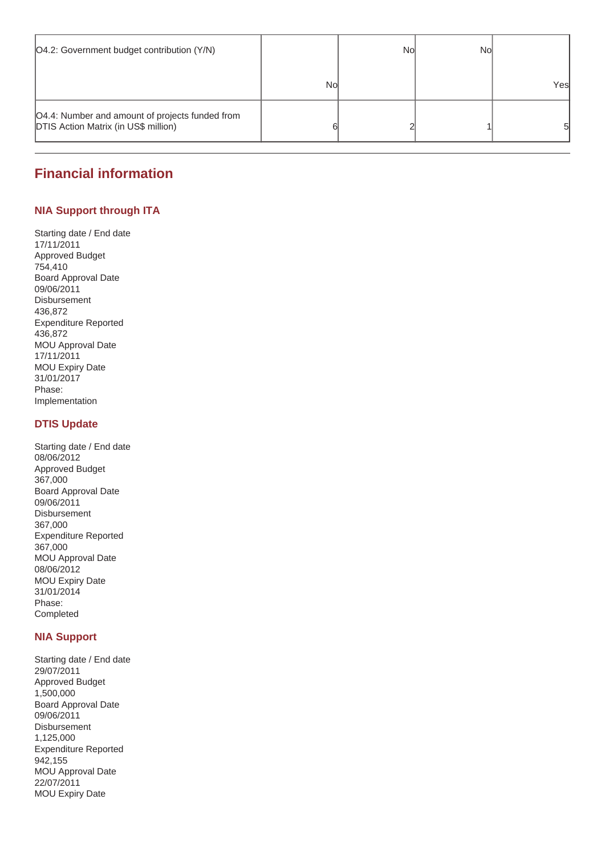| O4.2: Government budget contribution (Y/N)                                                     |    | Nol | No |     |
|------------------------------------------------------------------------------------------------|----|-----|----|-----|
|                                                                                                | No |     |    | Yes |
| O4.4: Number and amount of projects funded from<br><b>DTIS Action Matrix (in US\$ million)</b> |    |     |    | 51  |

# **Financial information**

#### **NIA Support through ITA**

Starting date / End date 17/11/2011 Approved Budget 754,410 Board Approval Date 09/06/2011 Disbursement 436,872 Expenditure Reported 436,872 MOU Approval Date 17/11/2011 MOU Expiry Date 31/01/2017 Phase: Implementation

#### **DTIS Update**

Starting date / End date 08/06/2012 Approved Budget 367,000 Board Approval Date 09/06/2011 Disbursement 367,000 Expenditure Reported 367,000 MOU Approval Date 08/06/2012 MOU Expiry Date 31/01/2014 Phase: Completed

#### **NIA Support**

Starting date / End date 29/07/2011 Approved Budget 1,500,000 Board Approval Date 09/06/2011 Disbursement 1,125,000 Expenditure Reported 942,155 MOU Approval Date 22/07/2011 MOU Expiry Date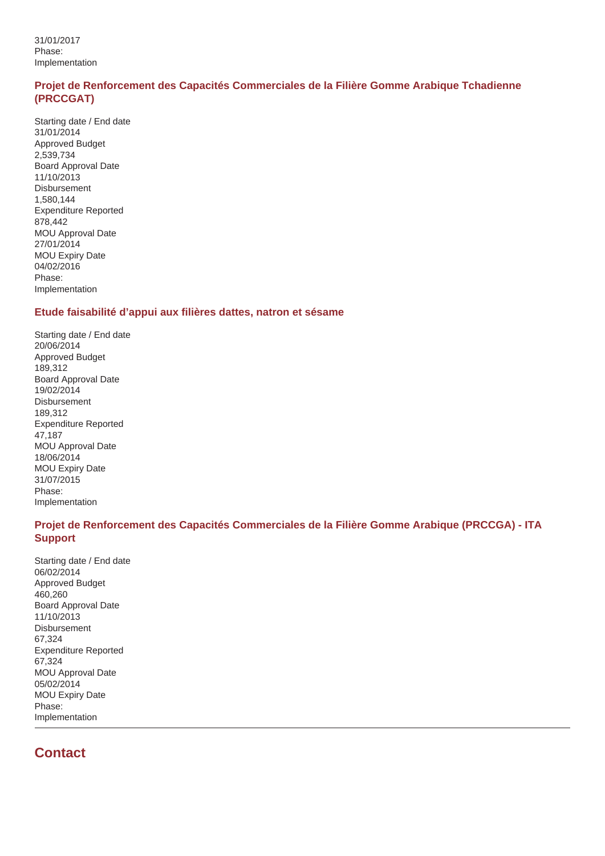31/01/2017 Phase: Implementation

#### **Projet de Renforcement des Capacités Commerciales de la Filière Gomme Arabique Tchadienne (PRCCGAT)**

Starting date / End date 31/01/2014 Approved Budget 2,539,734 Board Approval Date 11/10/2013 **Disbursement** 1,580,144 Expenditure Reported 878,442 MOU Approval Date 27/01/2014 MOU Expiry Date 04/02/2016 Phase: Implementation

#### **Etude faisabilité d'appui aux filières dattes, natron et sésame**

Starting date / End date 20/06/2014 Approved Budget 189,312 Board Approval Date 19/02/2014 Disbursement 189,312 Expenditure Reported 47,187 MOU Approval Date 18/06/2014 MOU Expiry Date 31/07/2015 Phase: Implementation

#### **Projet de Renforcement des Capacités Commerciales de la Filière Gomme Arabique (PRCCGA) - ITA Support**

Starting date / End date 06/02/2014 Approved Budget 460,260 Board Approval Date 11/10/2013 Disbursement 67,324 Expenditure Reported 67,324 MOU Approval Date 05/02/2014 MOU Expiry Date Phase: Implementation

# **Contact**